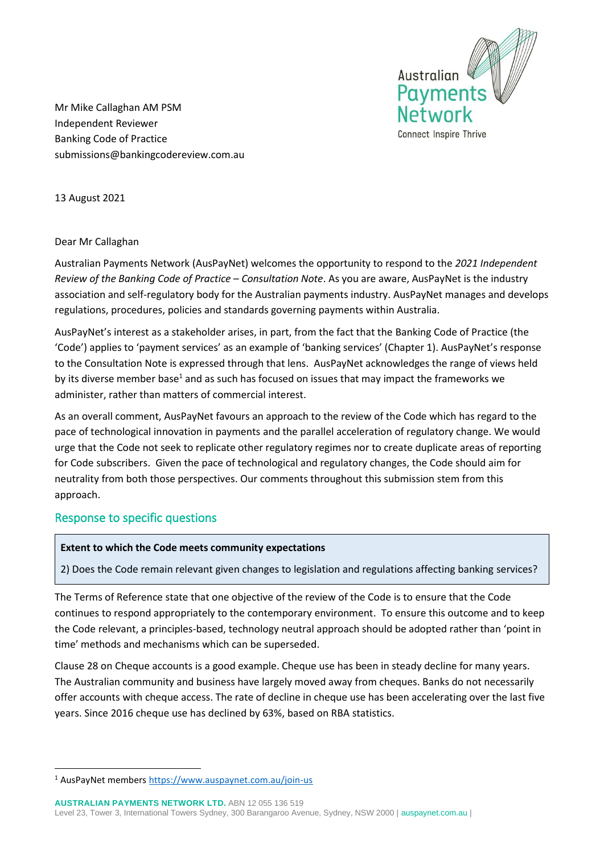

Mr Mike Callaghan AM PSM Independent Reviewer Banking Code of Practice submissions@bankingcodereview.com.au

13 August 2021

# Dear Mr Callaghan

Australian Payments Network (AusPayNet) welcomes the opportunity to respond to the *2021 Independent Review of the Banking Code of Practice – Consultation Note*. As you are aware, AusPayNet is the industry association and self-regulatory body for the Australian payments industry. AusPayNet manages and develops regulations, procedures, policies and standards governing payments within Australia.

AusPayNet's interest as a stakeholder arises, in part, from the fact that the Banking Code of Practice (the 'Code') applies to 'payment services' as an example of 'banking services' (Chapter 1). AusPayNet's response to the Consultation Note is expressed through that lens. AusPayNet acknowledges the range of views held by its diverse member base<sup>1</sup> and as such has focused on issues that may impact the frameworks we administer, rather than matters of commercial interest.

As an overall comment, AusPayNet favours an approach to the review of the Code which has regard to the pace of technological innovation in payments and the parallel acceleration of regulatory change. We would urge that the Code not seek to replicate other regulatory regimes nor to create duplicate areas of reporting for Code subscribers. Given the pace of technological and regulatory changes, the Code should aim for neutrality from both those perspectives. Our comments throughout this submission stem from this approach.

# Response to specific questions

## **Extent to which the Code meets community expectations**

2) Does the Code remain relevant given changes to legislation and regulations affecting banking services?

The Terms of Reference state that one objective of the review of the Code is to ensure that the Code continues to respond appropriately to the contemporary environment. To ensure this outcome and to keep the Code relevant, a principles-based, technology neutral approach should be adopted rather than 'point in time' methods and mechanisms which can be superseded.

Clause 28 on Cheque accounts is a good example. Cheque use has been in steady decline for many years. The Australian community and business have largely moved away from cheques. Banks do not necessarily offer accounts with cheque access. The rate of decline in cheque use has been accelerating over the last five years. Since 2016 cheque use has declined by 63%, based on RBA statistics.

**AUSTRALIAN PAYMENTS NETWORK LTD.** ABN 12 055 136 519 Level 23, Tower 3, International Towers Sydney, 300 Barangaroo Avenue, Sydney, NSW 2000 [| auspaynet.com.au](http://www.auspaynet.com.au/) |

<sup>1</sup> AusPayNet members<https://www.auspaynet.com.au/join-us>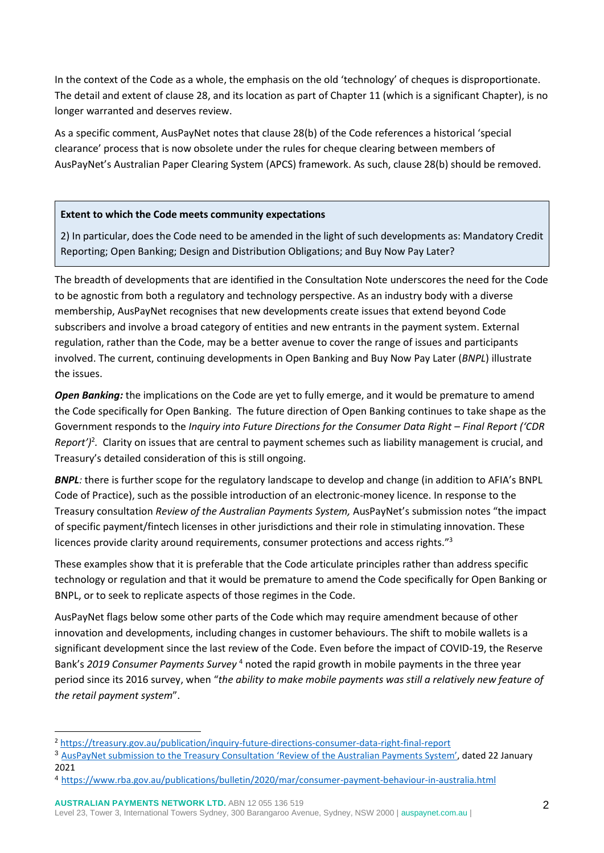In the context of the Code as a whole, the emphasis on the old 'technology' of cheques is disproportionate. The detail and extent of clause 28, and its location as part of Chapter 11 (which is a significant Chapter), is no longer warranted and deserves review.

As a specific comment, AusPayNet notes that clause 28(b) of the Code references a historical 'special clearance' process that is now obsolete under the rules for cheque clearing between members of AusPayNet's Australian Paper Clearing System (APCS) framework. As such, clause 28(b) should be removed.

## **Extent to which the Code meets community expectations**

2) In particular, does the Code need to be amended in the light of such developments as: Mandatory Credit Reporting; Open Banking; Design and Distribution Obligations; and Buy Now Pay Later?

The breadth of developments that are identified in the Consultation Note underscores the need for the Code to be agnostic from both a regulatory and technology perspective. As an industry body with a diverse membership, AusPayNet recognises that new developments create issues that extend beyond Code subscribers and involve a broad category of entities and new entrants in the payment system. External regulation, rather than the Code, may be a better avenue to cover the range of issues and participants involved. The current, continuing developments in Open Banking and Buy Now Pay Later (*BNPL*) illustrate the issues.

*Open Banking:* the implications on the Code are yet to fully emerge, and it would be premature to amend the Code specifically for Open Banking. The future direction of Open Banking continues to take shape as the Government responds to the *Inquiry into Future Directions for the Consumer Data Right – Final Report ('CDR*  Report')<sup>2</sup>. Clarity on issues that are central to payment schemes such as liability management is crucial, and Treasury's detailed consideration of this is still ongoing.

*BNPL:* there is further scope for the regulatory landscape to develop and change (in addition to AFIA's BNPL Code of Practice), such as the possible introduction of an electronic-money licence. In response to the Treasury consultation *Review of the Australian Payments System,* AusPayNet's submission notes "the impact of specific payment/fintech licenses in other jurisdictions and their role in stimulating innovation. These licences provide clarity around requirements, consumer protections and access rights."<sup>3</sup>

These examples show that it is preferable that the Code articulate principles rather than address specific technology or regulation and that it would be premature to amend the Code specifically for Open Banking or BNPL, or to seek to replicate aspects of those regimes in the Code.

AusPayNet flags below some other parts of the Code which may require amendment because of other innovation and developments, including changes in customer behaviours. The shift to mobile wallets is a significant development since the last review of the Code. Even before the impact of COVID-19, the Reserve Bank's *2019 Consumer Payments Survey* <sup>4</sup> noted the rapid growth in mobile payments in the three year period since its 2016 survey, when "*the ability to make mobile payments was still a relatively new feature of the retail payment system*".

**AUSTRALIAN PAYMENTS NETWORK LTD.** ABN 12 055 136 519

Level 23, Tower 3, International Towers Sydney, 300 Barangaroo Avenue, Sydney, NSW 2000 [| auspaynet.com.au](http://www.auspaynet.com.au/) |

<sup>2</sup> <https://treasury.gov.au/publication/inquiry-future-directions-consumer-data-right-final-report>

<sup>3</sup> [AusPayNet submission to the Treasury Consultation](https://treasury.gov.au/sites/default/files/2021-02/147719_auspaynet_0.pdf) 'Review of the Australian Payments System', dated 22 January 2021

<sup>4</sup> <https://www.rba.gov.au/publications/bulletin/2020/mar/consumer-payment-behaviour-in-australia.html>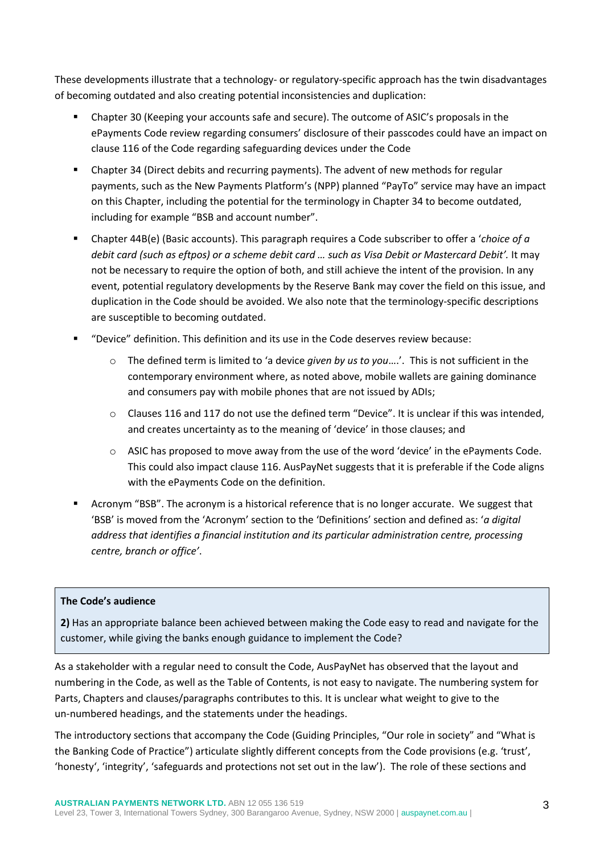These developments illustrate that a technology- or regulatory-specific approach has the twin disadvantages of becoming outdated and also creating potential inconsistencies and duplication:

- Chapter 30 (Keeping your accounts safe and secure). The outcome of ASIC's proposals in the ePayments Code review regarding consumers' disclosure of their passcodes could have an impact on clause 116 of the Code regarding safeguarding devices under the Code
- **•** Chapter 34 (Direct debits and recurring payments). The advent of new methods for regular payments, such as the New Payments Platform's (NPP) planned "PayTo" service may have an impact on this Chapter, including the potential for the terminology in Chapter 34 to become outdated, including for example "BSB and account number".
- Chapter 44B(e) (Basic accounts). This paragraph requires a Code subscriber to offer a '*choice of a debit card (such as eftpos) or a scheme debit card … such as Visa Debit or Mastercard Debit'.* It may not be necessary to require the option of both, and still achieve the intent of the provision. In any event, potential regulatory developments by the Reserve Bank may cover the field on this issue, and duplication in the Code should be avoided. We also note that the terminology-specific descriptions are susceptible to becoming outdated.
- "Device" definition. This definition and its use in the Code deserves review because:
	- o The defined term is limited to 'a device *given by us to you*….'. This is not sufficient in the contemporary environment where, as noted above, mobile wallets are gaining dominance and consumers pay with mobile phones that are not issued by ADIs;
	- $\circ$  Clauses 116 and 117 do not use the defined term "Device". It is unclear if this was intended. and creates uncertainty as to the meaning of 'device' in those clauses; and
	- $\circ$  ASIC has proposed to move away from the use of the word 'device' in the ePayments Code. This could also impact clause 116. AusPayNet suggests that it is preferable if the Code aligns with the ePayments Code on the definition.
- Acronym "BSB". The acronym is a historical reference that is no longer accurate. We suggest that 'BSB' is moved from the 'Acronym' section to the 'Definitions' section and defined as: '*a digital address that identifies a financial institution and its particular administration centre, processing centre, branch or office'*.

## **The Code's audience**

**2)** Has an appropriate balance been achieved between making the Code easy to read and navigate for the customer, while giving the banks enough guidance to implement the Code?

As a stakeholder with a regular need to consult the Code, AusPayNet has observed that the layout and numbering in the Code, as well as the Table of Contents, is not easy to navigate. The numbering system for Parts, Chapters and clauses/paragraphs contributes to this. It is unclear what weight to give to the un-numbered headings, and the statements under the headings.

The introductory sections that accompany the Code (Guiding Principles, "Our role in society" and "What is the Banking Code of Practice") articulate slightly different concepts from the Code provisions (e.g. 'trust', 'honesty', 'integrity', 'safeguards and protections not set out in the law'). The role of these sections and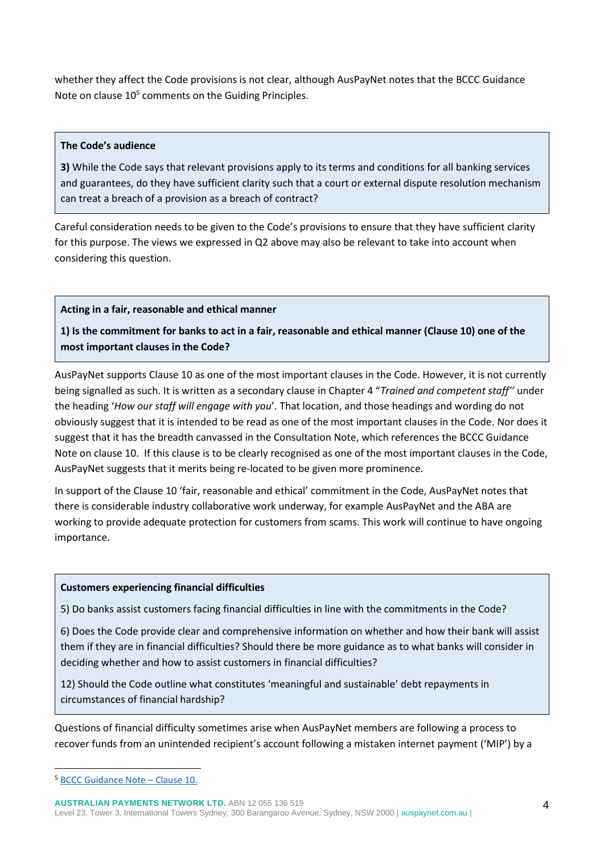whether they affect the Code provisions is not clear, although AusPayNet notes that the BCCC Guidance Note on clause 10<sup>5</sup> comments on the Guiding Principles.

# **The Code's audience**

**3)** While the Code says that relevant provisions apply to its terms and conditions for all banking services and guarantees, do they have sufficient clarity such that a court or external dispute resolution mechanism can treat a breach of a provision as a breach of contract?

Careful consideration needs to be given to the Code's provisions to ensure that they have sufficient clarity for this purpose. The views we expressed in Q2 above may also be relevant to take into account when considering this question.

# **Acting in a fair, reasonable and ethical manner**

**1) Is the commitment for banks to act in a fair, reasonable and ethical manner (Clause 10) one of the most important clauses in the Code?**

AusPayNet supports Clause 10 as one of the most important clauses in the Code. However, it is not currently being signalled as such. It is written as a secondary clause in Chapter 4 "*Trained and competent staff''* under the heading '*How our staff will engage with you*'. That location, and those headings and wording do not obviously suggest that it is intended to be read as one of the most important clauses in the Code. Nor does it suggest that it has the breadth canvassed in the Consultation Note, which references the BCCC Guidance Note on clause 10. If this clause is to be clearly recognised as one of the most important clauses in the Code, AusPayNet suggests that it merits being re-located to be given more prominence.

In support of the Clause 10 'fair, reasonable and ethical' commitment in the Code, AusPayNet notes that there is considerable industry collaborative work underway, for example AusPayNet and the ABA are working to provide adequate protection for customers from scams. This work will continue to have ongoing importance.

## **Customers experiencing financial difficulties**

5) Do banks assist customers facing financial difficulties in line with the commitments in the Code?

6) Does the Code provide clear and comprehensive information on whether and how their bank will assist them if they are in financial difficulties? Should there be more guidance as to what banks will consider in deciding whether and how to assist customers in financial difficulties?

12) Should the Code outline what constitutes 'meaningful and sustainable' debt repayments in circumstances of financial hardship?

Questions of financial difficulty sometimes arise when AusPayNet members are following a process to recover funds from an unintended recipient's account following a mistaken internet payment ('MIP') by a

<sup>5</sup> [BCCC Guidance Note](https://bankingcode.org.au/app/uploads/2019/11/BCCC-Guidance-Note-Clause-10-Fair-reasonable-and-ethical-behaviour.pdf) – Clause 10.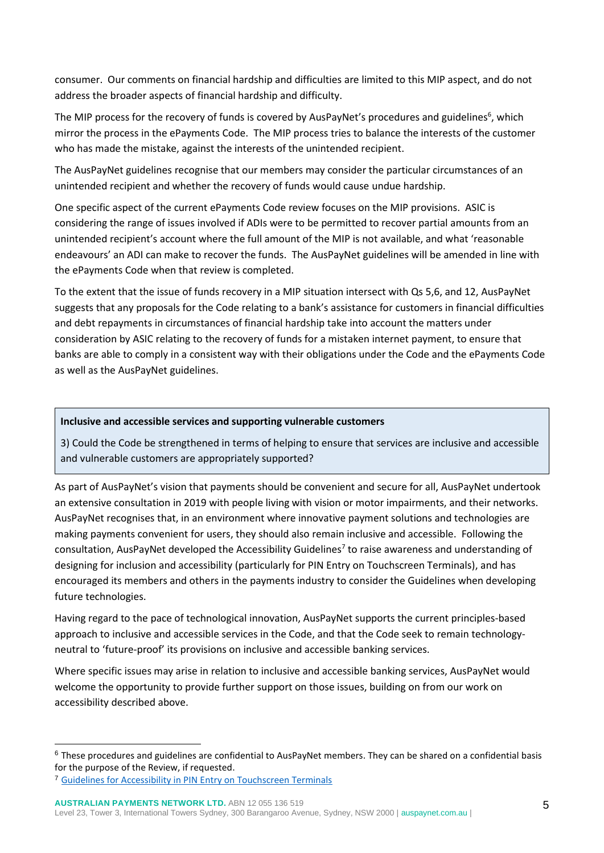consumer. Our comments on financial hardship and difficulties are limited to this MIP aspect, and do not address the broader aspects of financial hardship and difficulty.

The MIP process for the recovery of funds is covered by AusPayNet's procedures and guidelines<sup>6</sup>, which mirror the process in the ePayments Code. The MIP process tries to balance the interests of the customer who has made the mistake, against the interests of the unintended recipient.

The AusPayNet guidelines recognise that our members may consider the particular circumstances of an unintended recipient and whether the recovery of funds would cause undue hardship.

One specific aspect of the current ePayments Code review focuses on the MIP provisions. ASIC is considering the range of issues involved if ADIs were to be permitted to recover partial amounts from an unintended recipient's account where the full amount of the MIP is not available, and what 'reasonable endeavours' an ADI can make to recover the funds. The AusPayNet guidelines will be amended in line with the ePayments Code when that review is completed.

To the extent that the issue of funds recovery in a MIP situation intersect with Qs 5,6, and 12, AusPayNet suggests that any proposals for the Code relating to a bank's assistance for customers in financial difficulties and debt repayments in circumstances of financial hardship take into account the matters under consideration by ASIC relating to the recovery of funds for a mistaken internet payment, to ensure that banks are able to comply in a consistent way with their obligations under the Code and the ePayments Code as well as the AusPayNet guidelines.

## **Inclusive and accessible services and supporting vulnerable customers**

3) Could the Code be strengthened in terms of helping to ensure that services are inclusive and accessible and vulnerable customers are appropriately supported?

As part of AusPayNet's vision that payments should be convenient and secure for all, AusPayNet undertook an extensive consultation in 2019 with people living with vision or motor impairments, and their networks. AusPayNet recognises that, in an environment where innovative payment solutions and technologies are making payments convenient for users, they should also remain inclusive and accessible. Following the consultation, AusPayNet developed the Accessibility Guidelines<sup>7</sup> to raise awareness and understanding of designing for inclusion and accessibility (particularly for PIN Entry on Touchscreen Terminals), and has encouraged its members and others in the payments industry to consider the Guidelines when developing future technologies.

Having regard to the pace of technological innovation, AusPayNet supports the current principles-based approach to inclusive and accessible services in the Code, and that the Code seek to remain technologyneutral to 'future-proof' its provisions on inclusive and accessible banking services.

Where specific issues may arise in relation to inclusive and accessible banking services, AusPayNet would welcome the opportunity to provide further support on those issues, building on from our work on accessibility described above.

<sup>6</sup> These procedures and guidelines are confidential to AusPayNet members. They can be shared on a confidential basis for the purpose of the Review, if requested.

<sup>7</sup> [Guidelines for Accessibility in PIN Entry on Touchscreen Terminals](https://auspaynet.com.au/accessibility)